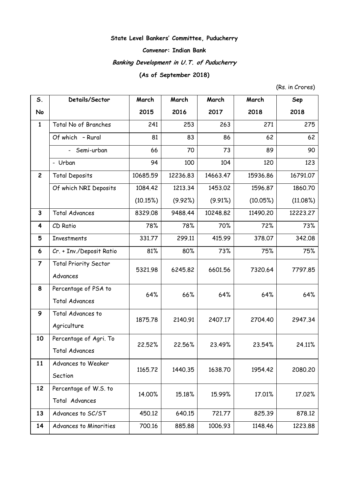## **State Level Bankers' Committee, Puducherry**

## **Convenor: Indian Bank**

# **Banking Development in U.T. of Puducherry**

## **(As of September 2018)**

(Rs. in Crores)

| S.                      | Details/Sector               | March    | March    | March    | March    | Sep      |
|-------------------------|------------------------------|----------|----------|----------|----------|----------|
| No                      |                              | 2015     | 2016     | 2017     | 2018     | 2018     |
| $\mathbf{1}$            | Total No of Branches         | 241      | 253      | 263      | 271      | 275      |
|                         | Of which - Rural             | 81       | 83       | 86       | 62       | 62       |
|                         | - Semi-urban                 | 66       | 70       | 73       | 89       | 90       |
|                         | - Urban                      | 94       | 100      | 104      | 120      | 123      |
| $\mathbf{2}$            | <b>Total Deposits</b>        | 10685.59 | 12236.83 | 14663.47 | 15936.86 | 16791.07 |
|                         | Of which NRI Deposits        | 1084.42  | 1213.34  | 1453.02  | 1596.87  | 1860.70  |
|                         |                              | (10.15%) | (9.92%)  | (9.91%)  | (10.05%) | (11.08%) |
| $\mathbf{3}$            | <b>Total Advances</b>        | 8329.08  | 9488.44  | 10248.82 | 11490.20 | 12223.27 |
| 4                       | CD Ratio                     | 78%      | 78%      | 70%      | 72%      | 73%      |
| 5                       | Investments                  | 331.77   | 299.11   | 415.99   | 378.07   | 342.08   |
| 6                       | Cr. + Inv./Deposit Ratio     | 81%      | 80%      | 73%      | 75%      | 75%      |
| $\overline{\mathbf{z}}$ | <b>Total Priority Sector</b> | 5321.98  | 6245.82  | 6601.56  | 7320.64  | 7797.85  |
|                         | Advances                     |          |          |          |          |          |
| 8                       | Percentage of PSA to         | 64%      | 66%      | 64%      | 64%      | 64%      |
|                         | <b>Total Advances</b>        |          |          |          |          |          |
| 9                       | Total Advances to            | 1875.78  | 2140.91  | 2407.17  | 2704.40  | 2947.34  |
|                         | Agriculture                  |          |          |          |          |          |
| 10                      | Percentage of Agri. To       | 22,52%   | 22.56%   | 23.49%   | 23.54%   | 24.11%   |
|                         | <b>Total Advances</b>        |          |          |          |          |          |
| 11                      | Advances to Weaker           | 1165.72  | 1440.35  | 1638.70  | 1954.42  | 2080.20  |
|                         | Section                      |          |          |          |          |          |
| 12                      | Percentage of W.S. to        | 14.00%   | 15.18%   | 15.99%   | 17.01%   | 17.02%   |
|                         | Total Advances               |          |          |          |          |          |
| 13                      | Advances to SC/ST            | 450.12   | 640.15   | 721.77   | 825.39   | 878.12   |
| 14                      | Advances to Minorities       | 700.16   | 885.88   | 1006.93  | 1148.46  | 1223.88  |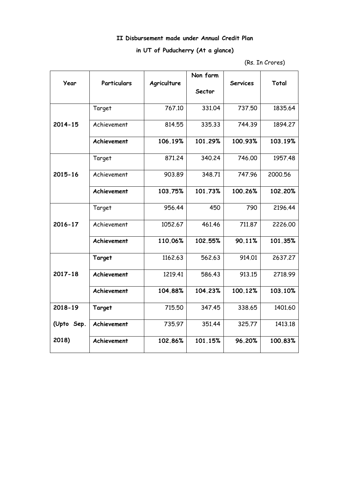## **II Disbursement made under Annual Credit Plan**

## **in UT of Puducherry (At a glance)**

<sup>(</sup>Rs. In Crores)

|             |             |             | Non farm |                 |         |
|-------------|-------------|-------------|----------|-----------------|---------|
| Year        | Particulars | Agriculture | Sector   | <b>Services</b> | Total   |
|             | Target      | 767.10      | 331.04   | 737.50          | 1835.64 |
| $2014 - 15$ | Achievement | 814.55      | 335.33   | 744.39          | 1894.27 |
|             | Achievement | 106.19%     | 101.29%  | 100.93%         | 103.19% |
|             | Target      | 871.24      | 340.24   | 746.00          | 1957.48 |
| 2015-16     | Achievement | 903.89      | 348.71   | 747.96          | 2000.56 |
|             | Achievement | 103.75%     | 101.73%  | 100.26%         | 102.20% |
|             | Target      | 956.44      | 450      | 790             | 2196.44 |
| 2016-17     | Achievement | 1052.67     | 461.46   | 711.87          | 2226,00 |
|             | Achievement | 110.06%     | 102.55%  | 90.11%          | 101.35% |
|             | Target      | 1162.63     | 562.63   | 914.01          | 2637,27 |
| 2017-18     | Achievement | 1219.41     | 586.43   | 913.15          | 2718.99 |
|             | Achievement | 104.88%     | 104.23%  | 100.12%         | 103.10% |
| 2018-19     | Target      | 715.50      | 347.45   | 338.65          | 1401.60 |
| (Upto Sep.  | Achievement | 735.97      | 351.44   | 325.77          | 1413.18 |
| 2018)       | Achievement | 102.86%     | 101.15%  | 96.20%          | 100.83% |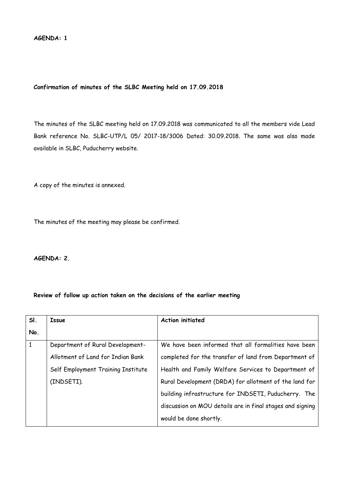## **Confirmation of minutes of the SLBC Meeting held on 17.09.2018**

The minutes of the SLBC meeting held on 17.09.2018 was communicated to all the members vide Lead Bank reference No. SLBC-UTP/L 05/ 2017-18/3006 Dated: 30.09.2018. The same was also made available in SLBC, Puducherry website.

A copy of the minutes is annexed.

The minutes of the meeting may please be confirmed.

**AGENDA: 2.**

## **Review of follow up action taken on the decisions of the earlier meeting**

| SI. | Issue                              | <b>Action initiated</b>                                   |
|-----|------------------------------------|-----------------------------------------------------------|
| No. |                                    |                                                           |
| 1   | Department of Rural Development-   | We have been informed that all formalities have been      |
|     | Allotment of Land for Indian Bank  | completed for the transfer of land from Department of     |
|     | Self Employment Training Institute | Health and Family Welfare Services to Department of       |
|     | (INDSETI).                         | Rural Development (DRDA) for allotment of the land for    |
|     |                                    | building infrastructure for INDSETI, Puducherry. The      |
|     |                                    | discussion on MOU details are in final stages and signing |
|     |                                    | would be done shortly.                                    |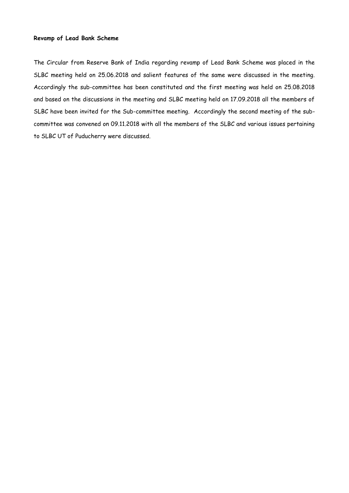## **Revamp of Lead Bank Scheme**

The Circular from Reserve Bank of India regarding revamp of Lead Bank Scheme was placed in the SLBC meeting held on 25.06.2018 and salient features of the same were discussed in the meeting. Accordingly the sub-committee has been constituted and the first meeting was held on 25.08.2018 and based on the discussions in the meeting and SLBC meeting held on 17.09.2018 all the members of SLBC have been invited for the Sub-committee meeting. Accordingly the second meeting of the subcommittee was convened on 09.11.2018 with all the members of the SLBC and various issues pertaining to SLBC UT of Puducherry were discussed.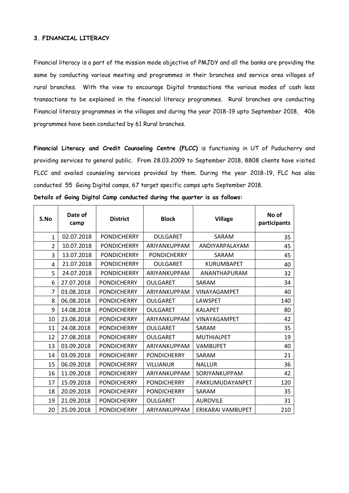## **3. FINANCIAL LITERACY**

Financial literacy is a part of the mission mode objective of PMJDY and all the banks are providing the same by conducting various meeting and programmes in their branches and service area villages of rural branches. With the view to encourage Digital transactions the various modes of cash less transactions to be explained in the financial literacy programmes. Rural branches are conducting Financial literacy programmes in the villages and during the year 2018-19 upto September 2018, 406 programmes have been conducted by 61 Rural branches.

**Financial Literacy and Credit Counseling Centre (FLCC)** is functioning in UT of Puducherry and providing services to general public. From 28.03.2009 to September 2018, 8808 clients have visited FLCC and availed counseling services provided by them. During the year 2018-19, FLC has also conducted 55 Going Digital camps, 67 target specific camps upto September 2018.

| S.No           | Date of<br>camp | <b>District</b>    | <b>Block</b>       | <b>Village</b>      | No of<br>participants |
|----------------|-----------------|--------------------|--------------------|---------------------|-----------------------|
| $\mathbf{1}$   | 02.07.2018      | <b>PONDICHERRY</b> | <b>OULGARET</b>    | SARAM               | 35                    |
| $\overline{2}$ | 10.07.2018      | <b>PONDICHERRY</b> | ARIYANKUPPAM       | ANDIYARPALAYAM      | 45                    |
| 3              | 13.07.2018      | <b>PONDICHERRY</b> | <b>PONDICHERRY</b> | SARAM               | 45                    |
| 4              | 21.07.2018      | <b>PONDICHERRY</b> | <b>OULGARET</b>    | <b>KURUMBAPET</b>   | 40                    |
| 5              | 24.07.2018      | <b>PONDICHERRY</b> | ARIYANKUPPAM       | ANANTHAPURAM        | 32                    |
| 6              | 27.07.2018      | <b>PONDICHERRY</b> | <b>OULGARET</b>    | SARAM               | 34                    |
| $\overline{7}$ | 03.08.2018      | <b>PONDICHERRY</b> | ARIYANKUPPAM       | <b>VINAYAGAMPET</b> | 40                    |
| 8              | 06.08.2018      | <b>PONDICHERRY</b> | <b>OULGARET</b>    | <b>LAWSPET</b>      | 140                   |
| 9              | 14.08.2018      | <b>PONDICHERRY</b> | <b>OULGARET</b>    | <b>KALAPET</b>      | 80                    |
| 10             | 23.08.2018      | <b>PONDICHERRY</b> | ARIYANKUPPAM       | <b>VINAYAGAMPET</b> | 42                    |
| 11             | 24.08.2018      | <b>PONDICHERRY</b> | <b>OULGARET</b>    | SARAM               | 35                    |
| 12             | 27.08.2018      | <b>PONDICHERRY</b> | <b>OULGARET</b>    | <b>MUTHIALPET</b>   | 19                    |
| 13             | 03.09.2018      | <b>PONDICHERRY</b> | ARIYANKUPPAM       | <b>VAMBUPET</b>     | 40                    |
| 14             | 03.09.2018      | <b>PONDICHERRY</b> | <b>PONDICHERRY</b> | SARAM               | 21                    |
| 15             | 06.09.2018      | <b>PONDICHERRY</b> | <b>VILLIANUR</b>   | <b>NALLUR</b>       | 36                    |
| 16             | 11.09.2018      | <b>PONDICHERRY</b> | ARIYANKUPPAM       | SORIYANKUPPAM       | 42                    |
| 17             | 15.09.2018      | <b>PONDICHERRY</b> | <b>PONDICHERRY</b> | PAKKUMUDAYANPET     | 120                   |
| 18             | 20.09.2018      | <b>PONDICHERRY</b> | <b>PONDICHERRY</b> | SARAM               | 35                    |
| 19             | 21.09.2018      | <b>PONDICHERRY</b> | <b>OULGARET</b>    | <b>AUROVILE</b>     | 31                    |
| 20             | 25.09.2018      | <b>PONDICHERRY</b> | ARIYANKUPPAM       | ERIKARAI VAMBUPET   | 210                   |

**Details of Going Digital Camp conducted during the quarter is as follows:**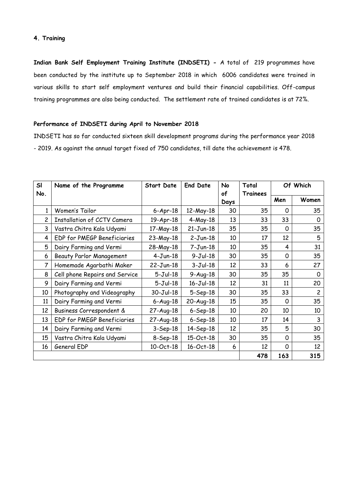## **4. Training**

**Indian Bank Self Employment Training Institute (INDSETI) -** A total of 219 programmes have been conducted by the institute up to September 2018 in which 6006 candidates were trained in various skills to start self employment ventures and build their financial capabilities. Off-campus training programmes are also being conducted. The settlement rate of trained candidates is at 72%.

## **Performance of INDSETI during April to November 2018**

INDSETI has so far conducted sixteen skill development programs during the performance year 2018 - 2019. As against the annual target fixed of 750 candidates, till date the achievement is 478.

| SI  | Name of the Programme              | <b>Start Date</b> | <b>End Date</b> | No   | Total    | Of Which |                |
|-----|------------------------------------|-------------------|-----------------|------|----------|----------|----------------|
| No. |                                    |                   |                 | of   | Trainees |          |                |
|     |                                    |                   |                 | Days |          | Men      | Women          |
| 1   | Women's Tailor                     | $6 - Apr - 18$    | 12-May-18       | 30   | 35       | 0        | 35             |
| 2   | <b>Installation of CCTV Camera</b> | 19-Apr-18         | $4-May-18$      | 13   | 33       | 33       | 0              |
| 3   | Vastra Chitra Kala Udyami          | 17-May-18         | $21-Jun-18$     | 35   | 35       | 0        | 35             |
| 4   | EDP for PMEGP Beneficiaries        | 23-May-18         | $2-Jun-18$      | 10   | 17       | 12       | 5              |
| 5   | Dairy Farming and Vermi            | 28-May-18         | $7 - Jun-18$    | 10   | 35       | 4        | 31             |
| 6   | <b>Beauty Parlor Management</b>    | $4-Jun-18$        | $9-Jul-18$      | 30   | 35       | 0        | 35             |
| 7   | Homemade Agarbathi Maker           | $22-Jun-18$       | $3-Jul-18$      | 12   | 33       | 6        | 27             |
| 8   | Cell phone Repairs and Service     | $5-Jul-18$        | $9-Auq-18$      | 30   | 35       | 35       | 0              |
| 9   | Dairy Farming and Vermi            | $5-Jul-18$        | $16 - Jul - 18$ | 12   | 31       | 11       | 20             |
| 10  | Photography and Videography        | $30 - Jul - 18$   | $5-$ Sep $-18$  | 30   | 35       | 33       | $\overline{c}$ |
| 11  | Dairy Farming and Vermi            | $6 - Aug-18$      | $20-Auq-18$     | 15   | 35       | 0        | 35             |
| 12  | Business Correspondent &           | $27 - Aug - 18$   | $6-$ Sep $-18$  | 10   | 20       | 10       | 10             |
| 13  | EDP for PMEGP Beneficiaries        | $27-Aug-18$       | $6-$ Sep $-18$  | 10   | 17       | 14       | 3              |
| 14  | Dairy Farming and Vermi            | $3-$ Sep $-18$    | 14-Sep-18       | 12   | 35       | 5        | 30             |
| 15  | Vastra Chitra Kala Udyami          | $8-$ Sep $-18$    | 15-Oct-18       | 30   | 35       | 0        | 35             |
| 16  | General EDP                        | 10-Oct-18         | 16-Oct-18       | 6    | 12       | 0        | 12             |
|     |                                    |                   |                 |      | 478      | 163      | 315            |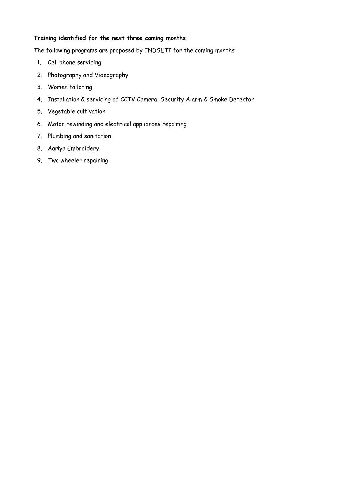## **Training identified for the next three coming months**

The following programs are proposed by INDSETI for the coming months

- 1. Cell phone servicing
- 2. Photography and Videography
- 3. Women tailoring
- 4. Installation & servicing of CCTV Camera, Security Alarm & Smoke Detector
- 5. Vegetable cultivation
- 6. Motor rewinding and electrical appliances repairing
- 7. Plumbing and sanitation
- 8. Aariya Embroidery
- 9. Two wheeler repairing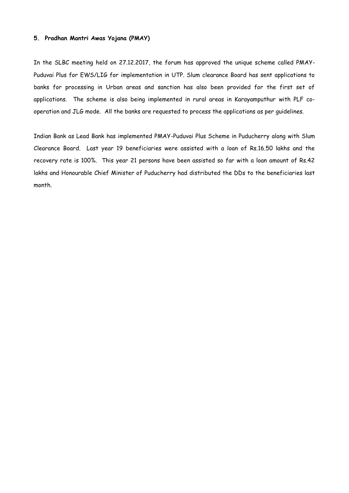## **5. Pradhan Mantri Awas Yojana (PMAY)**

In the SLBC meeting held on 27.12.2017, the forum has approved the unique scheme called PMAY-Puduvai Plus for EWS/LIG for implementation in UTP. Slum clearance Board has sent applications to banks for processing in Urban areas and sanction has also been provided for the first set of applications. The scheme is also being implemented in rural areas in Karayamputhur with PLF cooperation and JLG mode. All the banks are requested to process the applications as per guidelines.

Indian Bank as Lead Bank has implemented PMAY-Puduvai Plus Scheme in Puducherry along with Slum Clearance Board. Last year 19 beneficiaries were assisted with a loan of Rs.16.50 lakhs and the recovery rate is 100%. This year 21 persons have been assisted so far with a loan amount of Rs.42 lakhs and Honourable Chief Minister of Puducherry had distributed the DDs to the beneficiaries last month.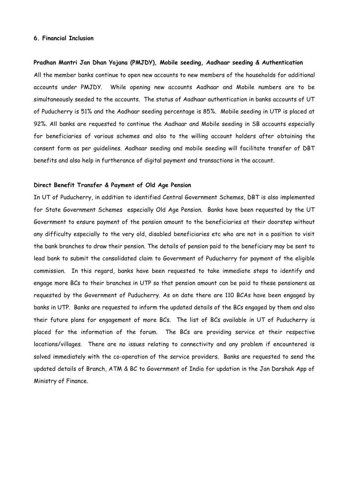#### **6. Financial Inclusion**

## **Pradhan Mantri Jan Dhan Yojana (PMJDY), Mobile seeding, Aadhaar seeding & Authentication**

All the member banks continue to open new accounts to new members of the households for additional accounts under PMJDY. While opening new accounts Aadhaar and Mobile numbers are to be simultaneously seeded to the accounts. The status of Aadhaar authentication in banks accounts of UT of Puducherry is 51% and the Aadhaar seeding percentage is 85%. Mobile seeding in UTP is placed at 92%. All banks are requested to continue the Aadhaar and Mobile seeding in SB accounts especially for beneficiaries of various schemes and also to the willing account holders after obtaining the consent form as per guidelines. Aadhaar seeding and mobile seeding will facilitate transfer of DBT benefits and also help in furtherance of digital payment and transactions in the account.

#### **Direct Benefit Transfer & Payment of Old Age Pension**

In UT of Puducherry, in addition to identified Central Government Schemes, DBT is also implemented for State Government Schemes especially Old Age Pension. Banks have been requested by the UT Government to ensure payment of the pension amount to the beneficiaries at their doorstep without any difficulty especially to the very old, disabled beneficiaries etc who are not in a position to visit the bank branches to draw their pension. The details of pension paid to the beneficiary may be sent to lead bank to submit the consolidated claim to Government of Puducherry for payment of the eligible commission. In this regard, banks have been requested to take immediate steps to identify and engage more BCs to their branches in UTP so that pension amount can be paid to these pensioners as requested by the Government of Puducherry. As on date there are 110 BCAs have been engaged by banks in UTP. Banks are requested to inform the updated details of the BCs engaged by them and also their future plans for engagement of more BCs. The list of BCs available in UT of Puducherry is placed for the information of the forum. The BCs are providing service at their respective locations/villages. There are no issues relating to connectivity and any problem if encountered is solved immediately with the co-operation of the service providers. Banks are requested to send the updated details of Branch, ATM & BC to Government of India for updation in the Jan Darshak App of Ministry of Finance.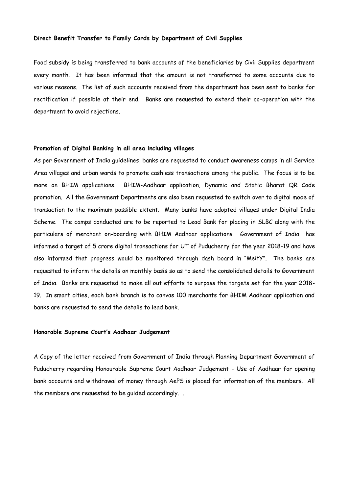#### **Direct Benefit Transfer to Family Cards by Department of Civil Supplies**

Food subsidy is being transferred to bank accounts of the beneficiaries by Civil Supplies department every month. It has been informed that the amount is not transferred to some accounts due to various reasons. The list of such accounts received from the department has been sent to banks for rectification if possible at their end. Banks are requested to extend their co-operation with the department to avoid rejections.

## **Promotion of Digital Banking in all area including villages**

As per Government of India guidelines, banks are requested to conduct awareness camps in all Service Area villages and urban wards to promote cashless transactions among the public. The focus is to be more on BHIM applications. BHIM-Aadhaar application, Dynamic and Static Bharat QR Code promotion. All the Government Departments are also been requested to switch over to digital mode of transaction to the maximum possible extent. Many banks have adopted villages under Digital India Scheme. The camps conducted are to be reported to Lead Bank for placing in SLBC along with the particulars of merchant on-boarding with BHIM Aadhaar applications. Government of India has informed a target of 5 crore digital transactions for UT of Puducherry for the year 2018-19 and have also informed that progress would be monitored through dash board in "MeitY". The banks are requested to inform the details on monthly basis so as to send the consolidated details to Government of India. Banks are requested to make all out efforts to surpass the targets set for the year 2018- 19. In smart cities, each bank branch is to canvas 100 merchants for BHIM Aadhaar application and banks are requested to send the details to lead bank.

## **Honorable Supreme Court's Aadhaar Judgement**

A Copy of the letter received from Government of India through Planning Department Government of Puducherry regarding Honourable Supreme Court Aadhaar Judgement - Use of Aadhaar for opening bank accounts and withdrawal of money through AePS is placed for information of the members. All the members are requested to be guided accordingly. .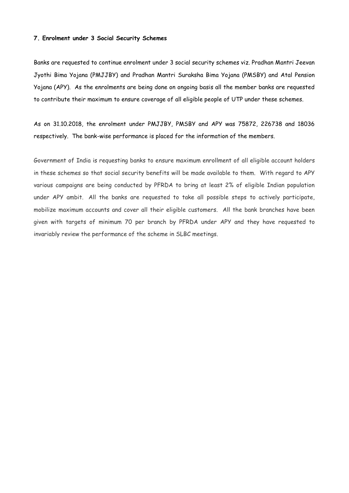#### **7. Enrolment under 3 Social Security Schemes**

Banks are requested to continue enrolment under 3 social security schemes viz. Pradhan Mantri Jeevan Jyothi Bima Yojana (PMJJBY) and Pradhan Mantri Suraksha Bima Yojana (PMSBY) and Atal Pension Yojana (APY). As the enrolments are being done on ongoing basis all the member banks are requested to contribute their maximum to ensure coverage of all eligible people of UTP under these schemes.

As on 31.10.2018, the enrolment under PMJJBY, PMSBY and APY was 75872, 226738 and 18036 respectively. The bank-wise performance is placed for the information of the members.

Government of India is requesting banks to ensure maximum enrollment of all eligible account holders in these schemes so that social security benefits will be made available to them. With regard to APY various campaigns are being conducted by PFRDA to bring at least 2% of eligible Indian population under APY ambit. All the banks are requested to take all possible steps to actively participate, mobilize maximum accounts and cover all their eligible customers. All the bank branches have been given with targets of minimum 70 per branch by PFRDA under APY and they have requested to invariably review the performance of the scheme in SLBC meetings.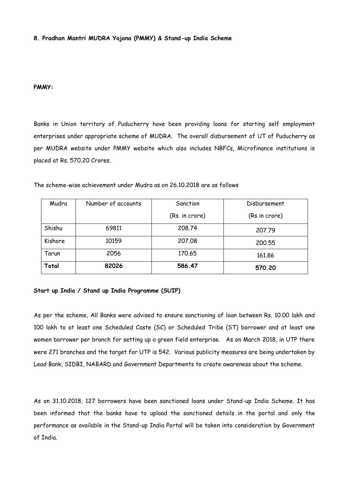## **8. Pradhan Mantri MUDRA Yojana (PMMY) & Stand-up India Scheme**

## **PMMY:**

Banks in Union territory of Puducherry have been providing loans for starting self employment enterprises under appropriate scheme of MUDRA. The overall disbursement of UT of Puducherry as per MUDRA website under PMMY website which also includes NBFCs, Microfinance institutions is placed at Rs. 570.20 Crores.

| Mudra   | Number of accounts | Sanction       | Disbursement  |
|---------|--------------------|----------------|---------------|
|         |                    | (Rs. in crore) | (Rs in crore) |
| Shishu  | 69811              | 208,74         | 207.79        |
| Kishore | 10159              | 207,08         | 200.55        |
| Tarun   | 2056               | 170.65         | 161.86        |
| Total   | 82026              | 586.47         | 570.20        |

The scheme-wise achievement under Mudra as on 26.10.2018 are as follows

#### **Start up India / Stand up India Programme (SUIP)**

As per the scheme, All Banks were advised to ensure sanctioning of loan between Rs. 10.00 lakh and 100 lakh to at least one Scheduled Caste (SC) or Scheduled Tribe (ST) borrower and at least one women borrower per branch for setting up a green field enterprise. As on March 2018, in UTP there were 271 branches and the target for UTP is 542. Various publicity measures are being undertaken by Lead Bank, SIDBI, NABARD and Government Departments to create awareness about the scheme.

As on 31.10.2018, 127 borrowers have been sanctioned loans under Stand-up India Scheme. It has been informed that the banks have to upload the sanctioned details in the portal and only the performance as available in the Stand-up India Portal will be taken into consideration by Government of India.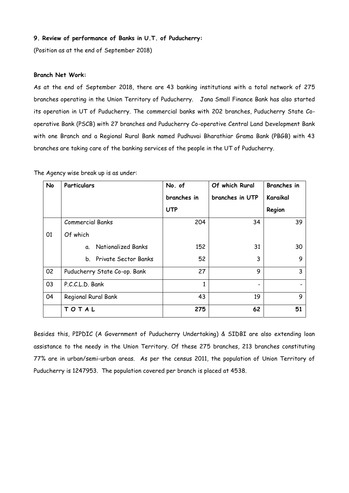## **9. Review of performance of Banks in U.T. of Puducherry:**

(Position as at the end of September 2018)

## **Branch Net Work:**

As at the end of September 2018, there are 43 banking institutions with a total network of 275 branches operating in the Union Territory of Puducherry. Jana Small Finance Bank has also started its operation in UT of Puducherry. The commercial banks with 202 branches, Puducherry State Cooperative Bank (PSCB) with 27 branches and Puducherry Co-operative Central Land Development Bank with one Branch and a Regional Rural Bank named Pudhuvai Bharathiar Grama Bank (PBGB) with 43 branches are taking care of the banking services of the people in the UT of Puducherry.

| <b>No</b> | Particulars                            | No. of      | Of which Rural  | <b>Branches</b> in |
|-----------|----------------------------------------|-------------|-----------------|--------------------|
|           |                                        | branches in | branches in UTP | Karaikal           |
|           |                                        | <b>UTP</b>  |                 | Region             |
|           | <b>Commercial Banks</b>                | 204         | 34              | 39                 |
| 01        | Of which                               |             |                 |                    |
|           | Nationalized Banks<br>$\mathfrak{a}$ . | 152         | 31              | 30                 |
|           | b. Private Sector Banks                | 52          | 3               | 9                  |
| 02        | Puducherry State Co-op. Bank           | 27          | 9               | 3                  |
| 03        | P.C.C.L.D. Bank                        | 1           |                 |                    |
| 04        | Regional Rural Bank                    | 43          | 19              | 9                  |
|           | TOTAL                                  | 275         | 62              | 51                 |

The Agency wise break up is as under:

Besides this, PIPDIC (A Government of Puducherry Undertaking) & SIDBI are also extending loan assistance to the needy in the Union Territory. Of these 275 branches, 213 branches constituting 77% are in urban/semi-urban areas. As per the census 2011, the population of Union Territory of Puducherry is 1247953. The population covered per branch is placed at 4538.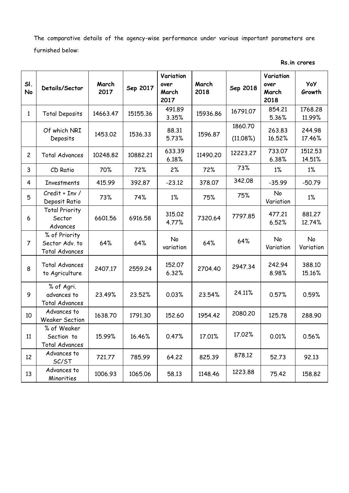The comparative details of the agency-wise performance under various important parameters are furnished below:

| SI.<br>No      | Details/Sector                                           | March<br>2017 | Sep 2017 | Variation<br>over<br>March<br>2017 | March<br>2018 | Sep 2018            | Variation<br>over<br>March<br>2018 | <b>YoY</b><br>Growth |
|----------------|----------------------------------------------------------|---------------|----------|------------------------------------|---------------|---------------------|------------------------------------|----------------------|
| $\mathbf{1}$   | <b>Total Deposits</b>                                    | 14663.47      | 15155.36 | 491.89<br>3.35%                    | 15936.86      | 16791.07            | 854.21<br>5.36%                    | 1768.28<br>11.99%    |
|                | Of which NRI<br>Deposits                                 | 1453.02       | 1536.33  | 88.31<br>5.73%                     | 1596.87       | 1860.70<br>(11.08%) | 263.83<br>16.52%                   | 244.98<br>17.46%     |
| $\overline{c}$ | <b>Total Advances</b>                                    | 10248.82      | 10882.21 | 633.39<br>6.18%                    | 11490.20      | 12223.27            | 733.07<br>6.38%                    | 1512.53<br>14.51%    |
| 3              | CD Ratio                                                 | 70%           | 72%      | 2%                                 | 72%           | 73%                 | 1%                                 | $1\%$                |
| 4              | <b>Investments</b>                                       | 415.99        | 392.87   | $-23.12$                           | 378.07        | 342.08              | $-35.99$                           | $-50.79$             |
| 5              | $Credit + Inv /$<br>Deposit Ratio                        | 73%           | 74%      | $1\%$                              | 75%           | 75%                 | No<br>Variation                    | $1\%$                |
| 6              | <b>Total Priority</b><br>Sector<br>Advances              | 6601.56       | 6916.58  | 315.02<br>4.77%                    | 7320.64       | 7797.85             | 477.21<br>6.52%                    | 881.27<br>12.74%     |
| $\overline{7}$ | % of Priority<br>Sector Adv. to<br><b>Total Advances</b> | 64%           | 64%      | No<br>variation                    | 64%           | 64%                 | No<br>Variation                    | No<br>Variation      |
| 8              | <b>Total Advances</b><br>to Agriculture                  | 2407.17       | 2559.24  | 152.07<br>6.32%                    | 2704.40       | 2947.34             | 242.94<br>8.98%                    | 388.10<br>15.16%     |
| 9              | % of Agri.<br>advances to<br><b>Total Advances</b>       | 23.49%        | 23.52%   | 0.03%                              | 23.54%        | 24.11%              | 0.57%                              | 0.59%                |
| 10             | Advances to<br><b>Weaker Section</b>                     | 1638.70       | 1791.30  | 152,60                             | 1954.42       | 2080.20             | 125.78                             | 288.90               |
| 11             | % of Weaker<br>Section to<br><b>Total Advances</b>       | 15.99%        | 16.46%   | 0.47%                              | 17.01%        | 17.02%              | 0.01%                              | 0.56%                |
| 12             | Advances to<br>SC/ST                                     | 721.77        | 785.99   | 64.22                              | 825.39        | 878.12              | 52.73                              | 92.13                |
| 13             | Advances to<br>Minorities                                | 1006.93       | 1065.06  | 58.13                              | 1148.46       | 1223.88             | 75.42                              | 158.82               |

**Rs.in crores**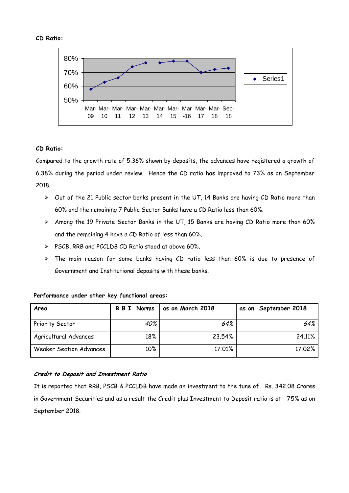## **CD Ratio:**



## **CD Ratio:**

Compared to the growth rate of 5.36% shown by deposits, the advances have registered a growth of 6.38% during the period under review. Hence the CD ratio has improved to 73% as on September 2018.

- $\triangleright$  Out of the 21 Public sector banks present in the UT, 14 Banks are having CD Ratio more than 60% and the remaining 7 Public Sector Banks have a CD Ratio less than 60%.
- $\triangleright$  Among the 19 Private Sector Banks in the UT, 15 Banks are having CD Ratio more than 60% and the remaining 4 have a CD Ratio of less than 60%.
- $\triangleright$  PSCB, RRB and PCCLDB CD Ratio stood at above 60%.
- > The main reason for some banks having CD ratio less than 60% is due to presence of Government and Institutional deposits with these banks.

| Area                           | R B I Norms | as on March 2018 | as on September 2018 |
|--------------------------------|-------------|------------------|----------------------|
| Priority Sector                | 40%         | 64%              | 64%                  |
| Agricultural Advances          | 18%         | 23.54%           | 24.11%               |
| <b>Weaker Section Advances</b> | $10\%$      | 17.01%           | 17.02%               |

## **Performance under other key functional areas:**

## **Credit to Deposit and Investment Ratio**

It is reported that RRB, PSCB & PCCLDB have made an investment to the tune of Rs. 342.08 Crores in Government Securities and as a result the Credit plus Investment to Deposit ratio is at 75% as on September 2018.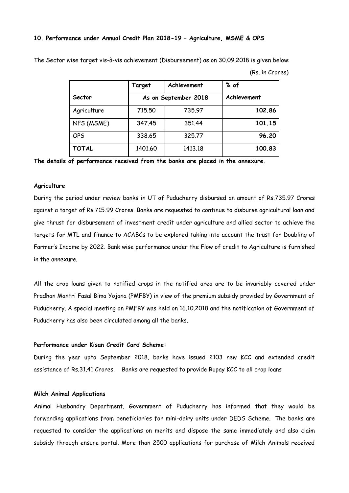#### **10. Performance under Annual Credit Plan 2018-19 – Agriculture, MSME & OPS**

The Sector wise target vis-à-vis achievement (Disbursement) as on 30.09.2018 is given below:

|  |  | (Rs. in Crores) |
|--|--|-----------------|
|--|--|-----------------|

|              | Target  | Achievement          | % of        |
|--------------|---------|----------------------|-------------|
| Sector       |         | As on September 2018 | Achievement |
| Agriculture  | 715,50  | 735.97               | 102.86      |
| NFS (MSME)   | 347.45  | 351.44               | 101.15      |
| <b>OPS</b>   | 338.65  | 325,77               | 96.20       |
| <b>TOTAL</b> | 1401.60 | 1413.18              | 100.83      |

**The details of performance received from the banks are placed in the annexure.** 

## **Agriculture**

During the period under review banks in UT of Puducherry disbursed an amount of Rs.735.97 Crores against a target of Rs.715.99 Crores. Banks are requested to continue to disburse agricultural loan and give thrust for disbursement of investment credit under agriculture and allied sector to achieve the targets for MTL and finance to ACABCs to be explored taking into account the trust for Doubling of Farmer's Income by 2022. Bank wise performance under the Flow of credit to Agriculture is furnished in the annexure.

All the crop loans given to notified crops in the notified area are to be invariably covered under Pradhan Mantri Fasal Bima Yojana (PMFBY) in view of the premium subsidy provided by Government of Puducherry. A special meeting on PMFBY was held on 16.10.2018 and the notification of Government of Puducherry has also been circulated among all the banks.

## **Performance under Kisan Credit Card Scheme:**

During the year upto September 2018, banks have issued 2103 new KCC and extended credit assistance of Rs.31.41 Crores. Banks are requested to provide Rupay KCC to all crop loans

## **Milch Animal Applications**

Animal Husbandry Department, Government of Puducherry has informed that they would be forwarding applications from beneficiaries for mini-dairy units under DEDS Scheme. The banks are requested to consider the applications on merits and dispose the same immediately and also claim subsidy through ensure portal. More than 2500 applications for purchase of Milch Animals received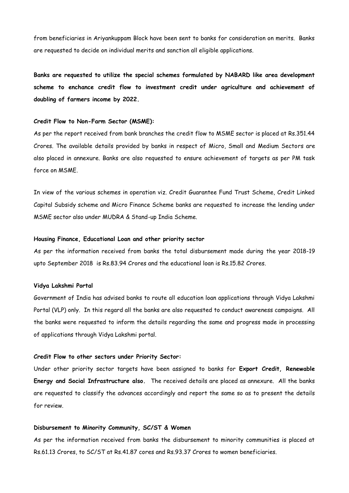from beneficiaries in Ariyankuppam Block have been sent to banks for consideration on merits. Banks are requested to decide on individual merits and sanction all eligible applications.

**Banks are requested to utilize the special schemes formulated by NABARD like area development scheme to enchance credit flow to investment credit under agriculture and achievement of doubling of farmers income by 2022.**

## **Credit Flow to Non-Farm Sector (MSME):**

As per the report received from bank branches the credit flow to MSME sector is placed at Rs.351.44 Crores. The available details provided by banks in respect of Micro, Small and Medium Sectors are also placed in annexure. Banks are also requested to ensure achievement of targets as per PM task force on MSME.

In view of the various schemes in operation viz. Credit Guarantee Fund Trust Scheme, Credit Linked Capital Subsidy scheme and Micro Finance Scheme banks are requested to increase the lending under MSME sector also under MUDRA & Stand-up India Scheme.

## **Housing Finance, Educational Loan and other priority sector**

As per the information received from banks the total disbursement made during the year 2018-19 upto September 2018 is Rs.83.94 Crores and the educational loan is Rs.15.82 Crores.

#### **Vidya Lakshmi Portal**

Government of India has advised banks to route all education loan applications through Vidya Lakshmi Portal (VLP) only. In this regard all the banks are also requested to conduct awareness campaigns. All the banks were requested to inform the details regarding the same and progress made in processing of applications through Vidya Lakshmi portal.

## **Credit Flow to other sectors under Priority Sector:**

Under other priority sector targets have been assigned to banks for **Export Credit, Renewable Energy and Social Infrastructure also.** The received details are placed as annexure. All the banks are requested to classify the advances accordingly and report the same so as to present the details for review.

#### **Disbursement to Minority Community, SC/ST & Women**

As per the information received from banks the disbursement to minority communities is placed at Rs.61.13 Crores, to SC/ST at Rs.41.87 cores and Rs.93.37 Crores to women beneficiaries.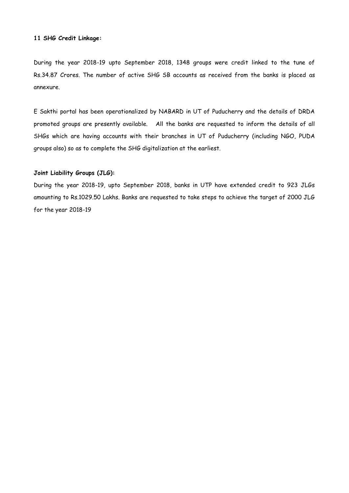## **11 SHG Credit Linkage:**

During the year 2018-19 upto September 2018, 1348 groups were credit linked to the tune of Rs.34.87 Crores. The number of active SHG SB accounts as received from the banks is placed as annexure.

E Sakthi portal has been operationalized by NABARD in UT of Puducherry and the details of DRDA promoted groups are presently available. All the banks are requested to inform the details of all SHGs which are having accounts with their branches in UT of Puducherry (including NGO, PUDA groups also) so as to complete the SHG digitalization at the earliest.

## **Joint Liability Groups (JLG):**

During the year 2018-19, upto September 2018, banks in UTP have extended credit to 923 JLGs amounting to Rs.1029.50 Lakhs. Banks are requested to take steps to achieve the target of 2000 JLG for the year 2018-19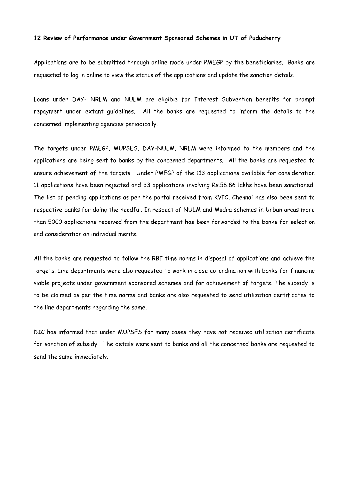#### **12 Review of Performance under Government Sponsored Schemes in UT of Puducherry**

Applications are to be submitted through online mode under PMEGP by the beneficiaries. Banks are requested to log in online to view the status of the applications and update the sanction details.

Loans under DAY- NRLM and NULM are eligible for Interest Subvention benefits for prompt repayment under extant guidelines. All the banks are requested to inform the details to the concerned implementing agencies periodically.

The targets under PMEGP, MUPSES, DAY-NULM, NRLM were informed to the members and the applications are being sent to banks by the concerned departments. All the banks are requested to ensure achievement of the targets. Under PMEGP of the 113 applications available for consideration 11 applications have been rejected and 33 applications involving Rs.58.86 lakhs have been sanctioned. The list of pending applications as per the portal received from KVIC, Chennai has also been sent to respective banks for doing the needful. In respect of NULM and Mudra schemes in Urban areas more than 5000 applications received from the department has been forwarded to the banks for selection and consideration on individual merits.

All the banks are requested to follow the RBI time norms in disposal of applications and achieve the targets. Line departments were also requested to work in close co-ordination with banks for financing viable projects under government sponsored schemes and for achievement of targets. The subsidy is to be claimed as per the time norms and banks are also requested to send utilization certificates to the line departments regarding the same.

DIC has informed that under MUPSES for many cases they have not received utilization certificate for sanction of subsidy. The details were sent to banks and all the concerned banks are requested to send the same immediately.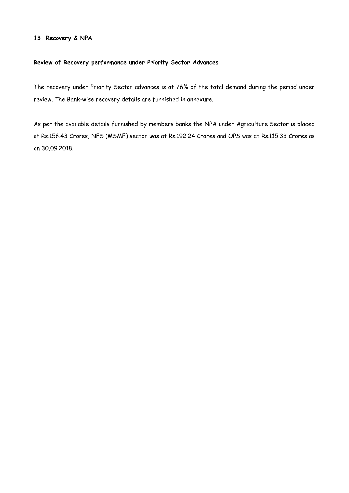## **13. Recovery & NPA**

## **Review of Recovery performance under Priority Sector Advances**

The recovery under Priority Sector advances is at 76% of the total demand during the period under review. The Bank-wise recovery details are furnished in annexure.

As per the available details furnished by members banks the NPA under Agriculture Sector is placed at Rs.156.43 Crores, NFS (MSME) sector was at Rs.192.24 Crores and OPS was at Rs.115.33 Crores as on 30.09.2018.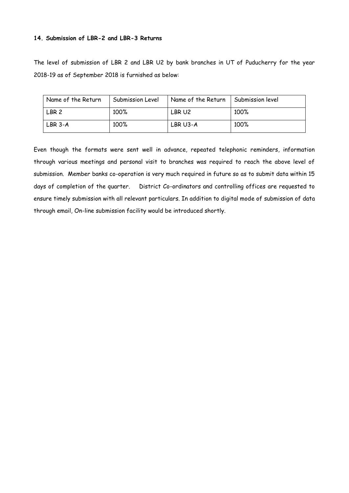## **14. Submission of LBR-2 and LBR-3 Returns**

The level of submission of LBR 2 and LBR U2 by bank branches in UT of Puducherry for the year 2018-19 as of September 2018 is furnished as below:

| Name of the Return | Submission Level | Name of the Return | Submission level |
|--------------------|------------------|--------------------|------------------|
| LBR <sub>2</sub>   | 100%             | LBR U2             | 100%             |
| LBR 3-A            | 100%             | LBR U3-A           | 100%             |

Even though the formats were sent well in advance, repeated telephonic reminders, information through various meetings and personal visit to branches was required to reach the above level of submission. Member banks co-operation is very much required in future so as to submit data within 15 days of completion of the quarter. District Co-ordinators and controlling offices are requested to ensure timely submission with all relevant particulars. In addition to digital mode of submission of data through email, On-line submission facility would be introduced shortly.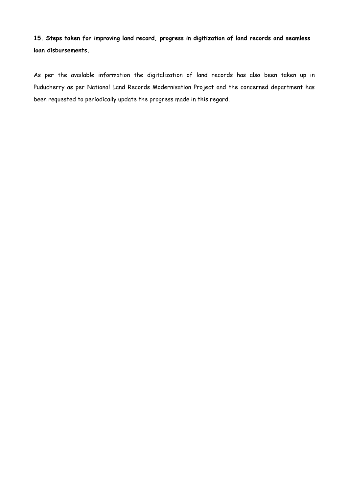**15. Steps taken for improving land record, progress in digitization of land records and seamless loan disbursements.** 

As per the available information the digitalization of land records has also been taken up in Puducherry as per National Land Records Modernisation Project and the concerned department has been requested to periodically update the progress made in this regard.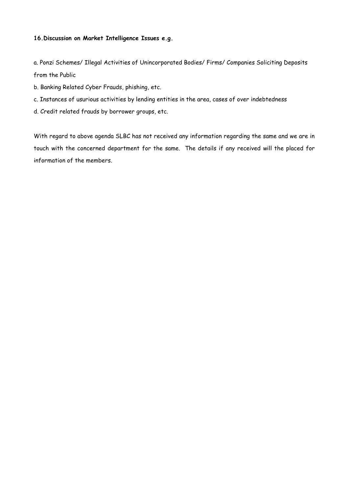## **16.Discussion on Market Intelligence Issues e.g.**

a. Ponzi Schemes/ Illegal Activities of Unincorporated Bodies/ Firms/ Companies Soliciting Deposits from the Public

- b. Banking Related Cyber Frauds, phishing, etc.
- c. Instances of usurious activities by lending entities in the area, cases of over indebtedness
- d. Credit related frauds by borrower groups, etc.

With regard to above agenda SLBC has not received any information regarding the same and we are in touch with the concerned department for the same. The details if any received will the placed for information of the members.